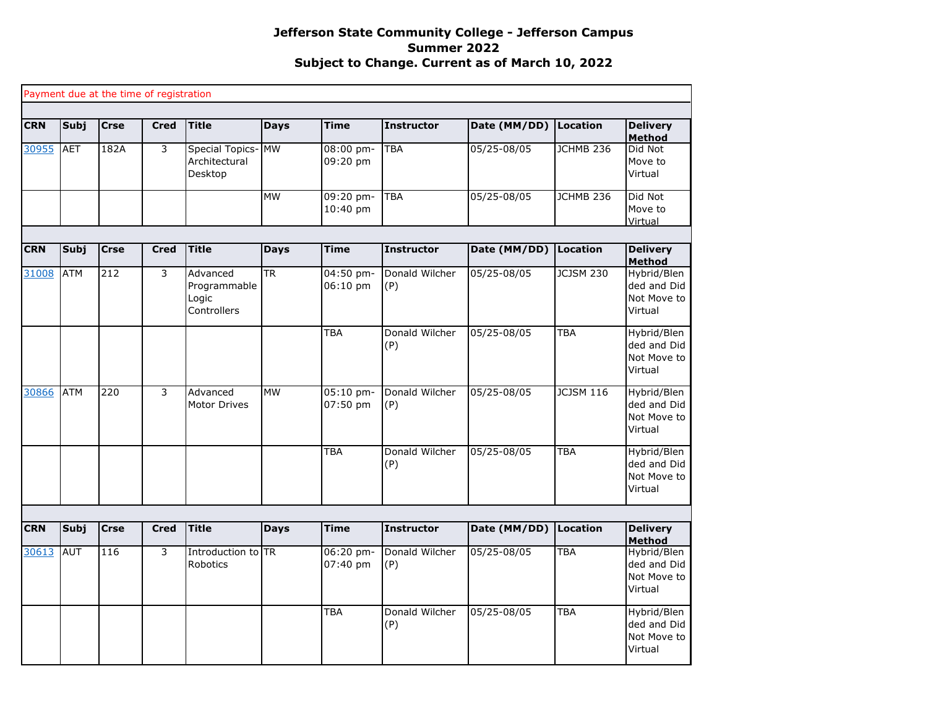|            |             | Payment due at the time of registration |             |                                                  |             |                         |                       |                 |                  |                                                      |
|------------|-------------|-----------------------------------------|-------------|--------------------------------------------------|-------------|-------------------------|-----------------------|-----------------|------------------|------------------------------------------------------|
| <b>CRN</b> | Subj        | <b>Crse</b>                             | <b>Cred</b> | <b>Title</b>                                     | <b>Days</b> | <b>Time</b>             | <b>Instructor</b>     | Date (MM/DD)    | Location         | <b>Delivery</b><br><b>Method</b>                     |
| 30955      | <b>AET</b>  | 182A                                    | 3           | Special Topics-MW<br>Architectural<br>Desktop    |             | $08:00$ pm-<br>09:20 pm | <b>TBA</b>            | 05/25-08/05     | <b>JCHMB 236</b> | Did Not<br>Move to<br>Virtual                        |
|            |             |                                         |             |                                                  | <b>MW</b>   | 09:20 pm-<br>10:40 pm   | <b>TBA</b>            | 05/25-08/05     | <b>JCHMB 236</b> | Did Not<br>Move to<br>Virtual                        |
|            |             |                                         |             |                                                  |             |                         |                       |                 |                  |                                                      |
| <b>CRN</b> | <b>Subj</b> | <b>Crse</b>                             | <b>Cred</b> | <b>Title</b>                                     | <b>Days</b> | <b>Time</b>             | <b>Instructor</b>     | Date (MM/DD)    | Location         | <b>Delivery</b><br><b>Method</b>                     |
| 31008      | <b>ATM</b>  | 212                                     | 3           | Advanced<br>Programmable<br>Logic<br>Controllers | <b>TR</b>   | 04:50 pm-<br>06:10 pm   | Donald Wilcher<br>(P) | 05/25-08/05     | <b>JCJSM 230</b> | Hybrid/Blen<br>ded and Did<br>Not Move to<br>Virtual |
|            |             |                                         |             |                                                  |             | <b>TBA</b>              | Donald Wilcher<br>(P) | 05/25-08/05     | <b>TBA</b>       | Hybrid/Blen<br>ded and Did<br>Not Move to<br>Virtual |
| 30866      | <b>ATM</b>  | 220                                     | 3           | Advanced<br><b>Motor Drives</b>                  | <b>MW</b>   | 05:10 pm-<br>07:50 pm   | Donald Wilcher<br>(P) | 05/25-08/05     | <b>JCJSM 116</b> | Hybrid/Blen<br>ded and Did<br>Not Move to<br>Virtual |
|            |             |                                         |             |                                                  |             | <b>TBA</b>              | Donald Wilcher<br>(P) | 05/25-08/05     | <b>TBA</b>       | Hybrid/Blen<br>ded and Did<br>Not Move to<br>Virtual |
|            |             |                                         |             |                                                  |             |                         |                       |                 |                  |                                                      |
| <b>CRN</b> | Subj        | <b>Crse</b>                             | <b>Cred</b> | <b>Title</b>                                     | <b>Days</b> | <b>Time</b>             | <b>Instructor</b>     | Date (MM/DD)    | Location         | <b>Delivery</b><br><b>Method</b>                     |
| 30613      | <b>AUT</b>  | 116                                     | 3           | Introduction to TR<br>Robotics                   |             | 06:20 pm-<br>07:40 pm   | Donald Wilcher<br>(P) | $05/25 - 08/05$ | <b>TBA</b>       | Hybrid/Blen<br>ded and Did<br>Not Move to<br>Virtual |
|            |             |                                         |             |                                                  |             | <b>TBA</b>              | Donald Wilcher<br>(P) | 05/25-08/05     | <b>TBA</b>       | Hybrid/Blen<br>ded and Did<br>Not Move to<br>Virtual |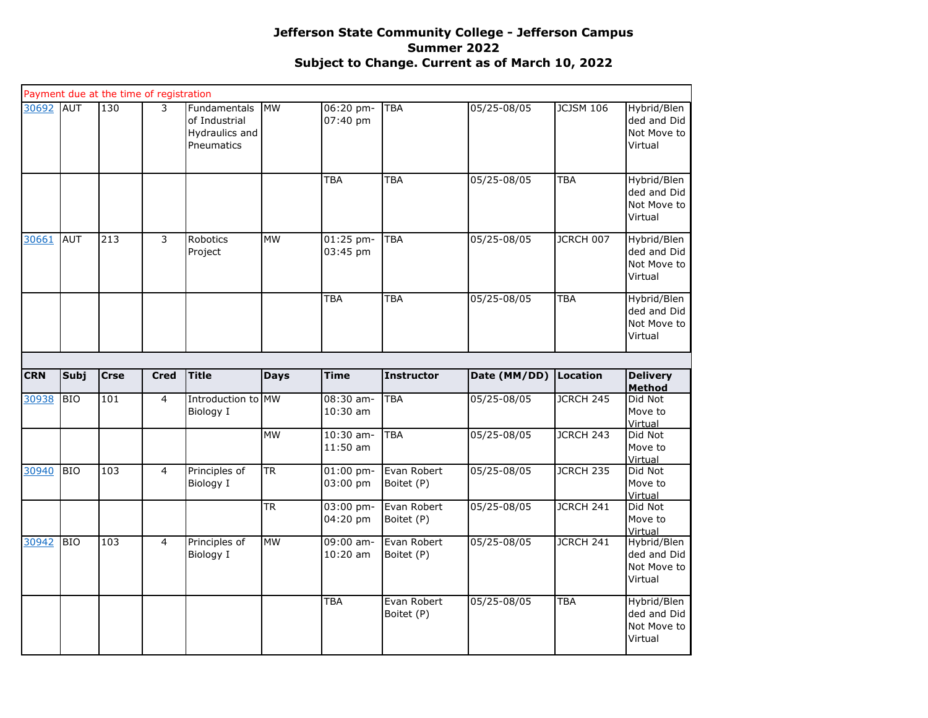|            |            | Payment due at the time of registration |                |                                                               |                        |                                       |                                          |                            |                  |                                                                     |
|------------|------------|-----------------------------------------|----------------|---------------------------------------------------------------|------------------------|---------------------------------------|------------------------------------------|----------------------------|------------------|---------------------------------------------------------------------|
| 30692      | AUT        | 130                                     | 3              | Fundamentals<br>of Industrial<br>Hydraulics and<br>Pneumatics | <b>IMW</b>             | 06:20 pm-<br>07:40 pm                 | <b>TBA</b>                               | 05/25-08/05                | <b>JCJSM 106</b> | Hybrid/Blen<br>ded and Did<br>Not Move to<br>Virtual                |
|            |            |                                         |                |                                                               |                        | <b>TBA</b>                            | <b>TBA</b>                               | 05/25-08/05                | <b>TBA</b>       | Hybrid/Blen<br>ded and Did<br>Not Move to<br>Virtual                |
| 30661      | <b>AUT</b> | 213                                     | 3              | Robotics<br>Project                                           | <b>MW</b>              | 01:25 pm-<br>03:45 pm                 | <b>TBA</b>                               | 05/25-08/05                | JCRCH 007        | Hybrid/Blen<br>ded and Did<br>Not Move to<br>Virtual                |
|            |            |                                         |                |                                                               |                        | <b>TBA</b>                            | <b>TBA</b>                               | 05/25-08/05                | <b>TBA</b>       | Hybrid/Blen<br>ded and Did<br>Not Move to<br>Virtual                |
|            |            |                                         |                |                                                               |                        |                                       |                                          |                            |                  |                                                                     |
| <b>CRN</b> | Subj       | <b>Crse</b>                             | <b>Cred</b>    | <b>Title</b>                                                  | <b>Days</b>            | <b>Time</b>                           | <b>Instructor</b>                        | Date (MM/DD)               | Location         | <b>Delivery</b>                                                     |
|            |            |                                         |                |                                                               |                        |                                       |                                          |                            |                  | Method                                                              |
| 30938      | <b>BIO</b> | 101                                     | $\overline{4}$ | Introduction to MW<br>Biology I                               |                        | 08:30 am-<br>10:30 am                 | <b>TBA</b>                               | 05/25-08/05                | JCRCH 245        | Did Not<br>Move to                                                  |
|            |            |                                         |                |                                                               | <b>MW</b>              | 10:30 am-<br>$11:50$ am               | <b>TBA</b>                               | 05/25-08/05                | JCRCH 243        | Virtual<br>Did Not<br>Move to                                       |
| 30940      | <b>BIO</b> | 103                                     | $\overline{4}$ | Principles of<br>Biology I                                    | <b>TR</b>              | $01:00$ pm-<br>03:00 pm               | Evan Robert<br>Boitet (P)                | 05/25-08/05                | <b>JCRCH 235</b> | Virtual<br>Did Not<br>Move to                                       |
|            |            |                                         |                |                                                               | $\overline{\text{TR}}$ | 03:00 pm-<br>04:20 pm                 | Evan Robert<br>Boitet (P)                | 05/25-08/05                | <b>JCRCH 241</b> | Virtual<br>Did Not<br>Move to<br>Virtual                            |
| 30942      | <b>BIO</b> | 103                                     | 4              | Principles of<br>Biology I                                    | <b>MW</b>              | 09:00 am-<br>$10:20$ am<br><b>TBA</b> | Evan Robert<br>Boitet (P)<br>Evan Robert | 05/25-08/05<br>05/25-08/05 | JCRCH 241        | Hybrid/Blen<br>ded and Did<br>Not Move to<br>Virtual<br>Hybrid/Blen |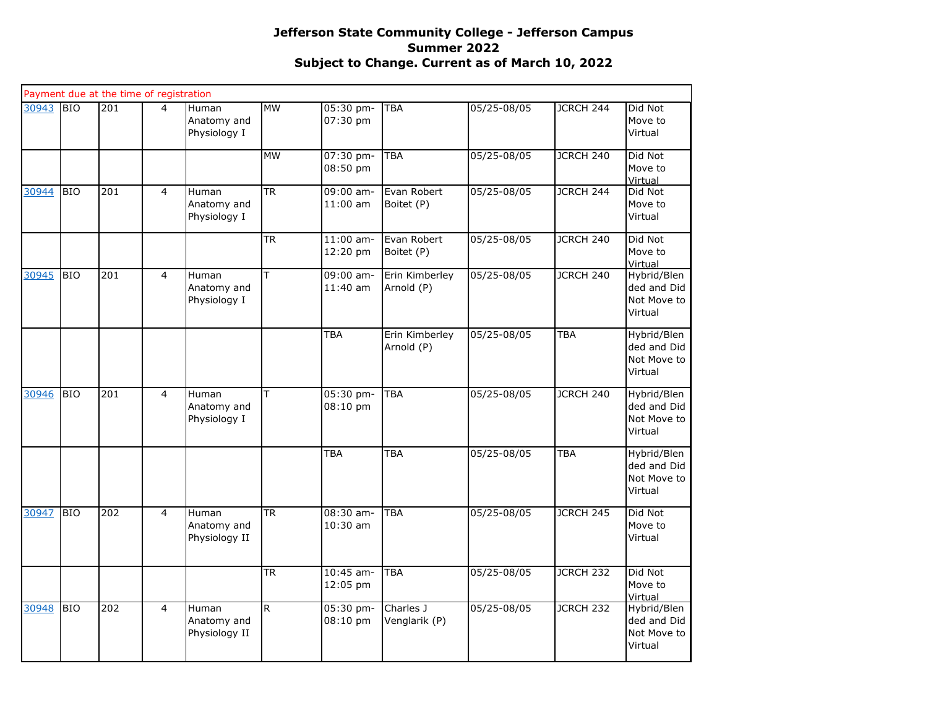|       |            | Payment due at the time of registration |                |                                             |                         |                           |                              |             |            |                                                      |
|-------|------------|-----------------------------------------|----------------|---------------------------------------------|-------------------------|---------------------------|------------------------------|-------------|------------|------------------------------------------------------|
| 30943 | <b>BIO</b> | 201                                     | 4              | <b>Human</b><br>Anatomy and<br>Physiology I | <b>MW</b>               | 05:30 pm-<br>07:30 pm     | <b>TBA</b>                   | 05/25-08/05 | JCRCH 244  | Did Not<br>Move to<br>Virtual                        |
|       |            |                                         |                |                                             | <b>MW</b>               | 07:30 pm-<br>08:50 pm     | <b>TBA</b>                   | 05/25-08/05 | JCRCH 240  | Did Not<br>Move to<br>Virtual                        |
| 30944 | <b>BIO</b> | 201                                     | $\overline{4}$ | Human<br>Anatomy and<br>Physiology I        | $\overline{\text{TR}}$  | $09:00$ am-<br>$11:00$ am | Evan Robert<br>Boitet (P)    | 05/25-08/05 | JCRCH 244  | Did Not<br>Move to<br>Virtual                        |
|       |            |                                         |                |                                             | $\overline{\text{TR}}$  | $11:00$ am-<br>12:20 pm   | Evan Robert<br>Boitet (P)    | 05/25-08/05 | JCRCH 240  | Did Not<br>Move to<br>Virtual                        |
| 30945 | <b>BIO</b> | 201                                     | $\overline{4}$ | Human<br>Anatomy and<br>Physiology I        | $\overline{\mathsf{T}}$ | $09:00$ am-<br>11:40 am   | Erin Kimberley<br>Arnold (P) | 05/25-08/05 | JCRCH 240  | Hybrid/Blen<br>ded and Did<br>Not Move to<br>Virtual |
|       |            |                                         |                |                                             |                         | <b>TBA</b>                | Erin Kimberley<br>Arnold (P) | 05/25-08/05 | <b>TBA</b> | Hybrid/Blen<br>ded and Did<br>Not Move to<br>Virtual |
| 30946 | <b>BIO</b> | 201                                     | $\overline{4}$ | Human<br>Anatomy and<br>Physiology I        | T                       | 05:30 pm-<br>08:10 pm     | <b>TBA</b>                   | 05/25-08/05 | JCRCH 240  | Hybrid/Blen<br>ded and Did<br>Not Move to<br>Virtual |
|       |            |                                         |                |                                             |                         | TBA                       | <b>TBA</b>                   | 05/25-08/05 | <b>TBA</b> | Hybrid/Blen<br>ded and Did<br>Not Move to<br>Virtual |
| 30947 | <b>BIO</b> | 202                                     | $\overline{4}$ | Human<br>Anatomy and<br>Physiology II       | <b>TR</b>               | $08:30$ am-<br>10:30 am   | TBA                          | 05/25-08/05 | JCRCH 245  | Did Not<br>Move to<br>Virtual                        |
|       |            |                                         |                |                                             | <b>TR</b>               | 10:45 am-<br>12:05 pm     | TBA                          | 05/25-08/05 | JCRCH 232  | Did Not<br>Move to<br>Virtual                        |
| 30948 | <b>BIO</b> | 202                                     | $\overline{4}$ | Human<br>Anatomy and<br>Physiology II       | $\mathsf{R}$            | 05:30 pm-<br>08:10 pm     | Charles J<br>Venglarik (P)   | 05/25-08/05 | JCRCH 232  | Hybrid/Blen<br>ded and Did<br>Not Move to<br>Virtual |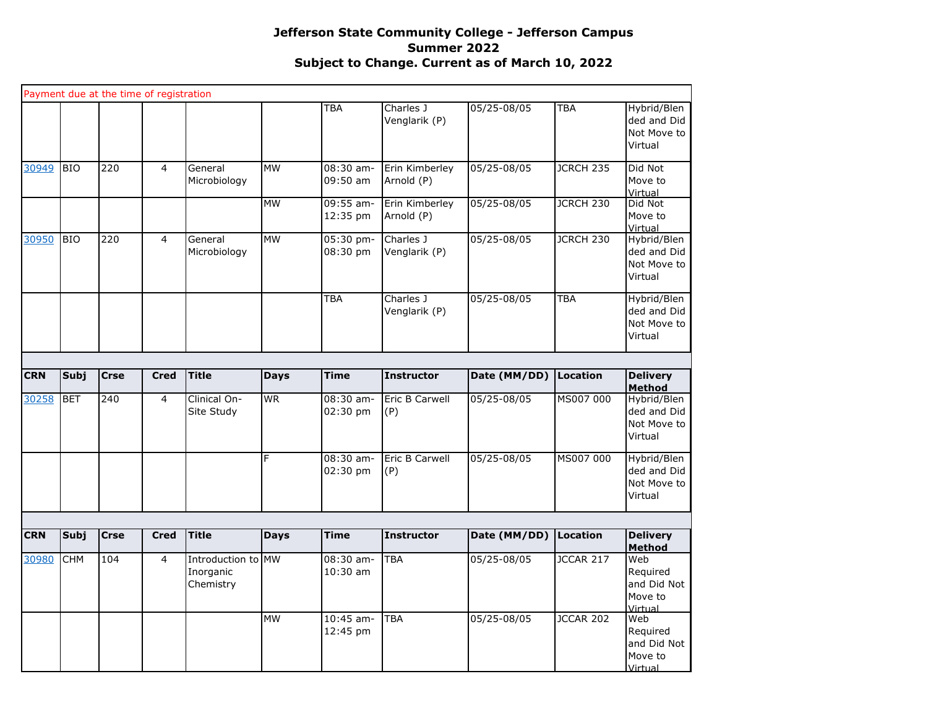|            |             | Payment due at the time of registration |                |                                              |             |                           |                              |              |                  |                                                      |
|------------|-------------|-----------------------------------------|----------------|----------------------------------------------|-------------|---------------------------|------------------------------|--------------|------------------|------------------------------------------------------|
|            |             |                                         |                |                                              |             | <b>TBA</b>                | Charles J<br>Venglarik (P)   | 05/25-08/05  | <b>TBA</b>       | Hybrid/Blen<br>ded and Did<br>Not Move to<br>Virtual |
| 30949      | <b>BIO</b>  | 220                                     | $\overline{4}$ | General<br>Microbiology                      | <b>MW</b>   | $08:30$ am-<br>09:50 am   | Erin Kimberley<br>Arnold (P) | 05/25-08/05  | JCRCH 235        | Did Not<br>Move to<br>Virtual                        |
|            |             |                                         |                |                                              | <b>MW</b>   | 09:55 am-<br>12:35 pm     | Erin Kimberley<br>Arnold (P) | 05/25-08/05  | JCRCH 230        | Did Not<br>Move to<br>Virtual                        |
| 30950      | <b>BIO</b>  | 220                                     | $\overline{4}$ | General<br>Microbiology                      | <b>MW</b>   | 05:30 pm-<br>08:30 pm     | Charles J<br>Venglarik (P)   | 05/25-08/05  | JCRCH 230        | Hybrid/Blen<br>ded and Did<br>Not Move to<br>Virtual |
|            |             |                                         |                |                                              |             | <b>TBA</b>                | Charles J<br>Venglarik (P)   | 05/25-08/05  | <b>TBA</b>       | Hybrid/Blen<br>ded and Did<br>Not Move to<br>Virtual |
|            |             |                                         |                |                                              |             |                           |                              |              |                  |                                                      |
| <b>CRN</b> | Subj        | <b>Crse</b>                             | <b>Cred</b>    | <b>Title</b>                                 | <b>Days</b> | <b>Time</b>               | <b>Instructor</b>            | Date (MM/DD) | Location         | <b>Delivery</b><br><b>Method</b>                     |
| 30258      | <b>BET</b>  | 240                                     | $\overline{4}$ | Clinical On-<br>Site Study                   | <b>WR</b>   | 08:30 am-<br>02:30 pm     | Eric B Carwell<br>(P)        | 05/25-08/05  | MS007 000        | Hybrid/Blen<br>ded and Did<br>Not Move to<br>Virtual |
|            |             |                                         |                |                                              | F           | 08:30 am-<br>02:30 pm     | Eric B Carwell<br>(P)        | 05/25-08/05  | MS007 000        | Hybrid/Blen<br>ded and Did<br>Not Move to<br>Virtual |
|            |             |                                         |                |                                              |             |                           |                              |              |                  |                                                      |
| <b>CRN</b> | <b>Subj</b> | <b>Crse</b>                             | <b>Cred</b>    | Title                                        | <b>Days</b> | <b>Time</b>               | <b>Instructor</b>            | Date (MM/DD) | Location         | <b>Delivery</b><br><b>Method</b>                     |
| 30980      | <b>CHM</b>  | 104                                     | $\overline{4}$ | Introduction to MW<br>Inorganic<br>Chemistry |             | $08:30$ am-<br>$10:30$ am | <b>TBA</b>                   | 05/25-08/05  | <b>JCCAR 217</b> | Web<br>Required<br>and Did Not<br>Move to<br>Virtual |
|            |             |                                         |                |                                              | <b>MW</b>   | $10:45$ am-<br>12:45 pm   | <b>TBA</b>                   | 05/25-08/05  | <b>JCCAR 202</b> | Web<br>Required<br>and Did Not<br>Move to<br>Virtual |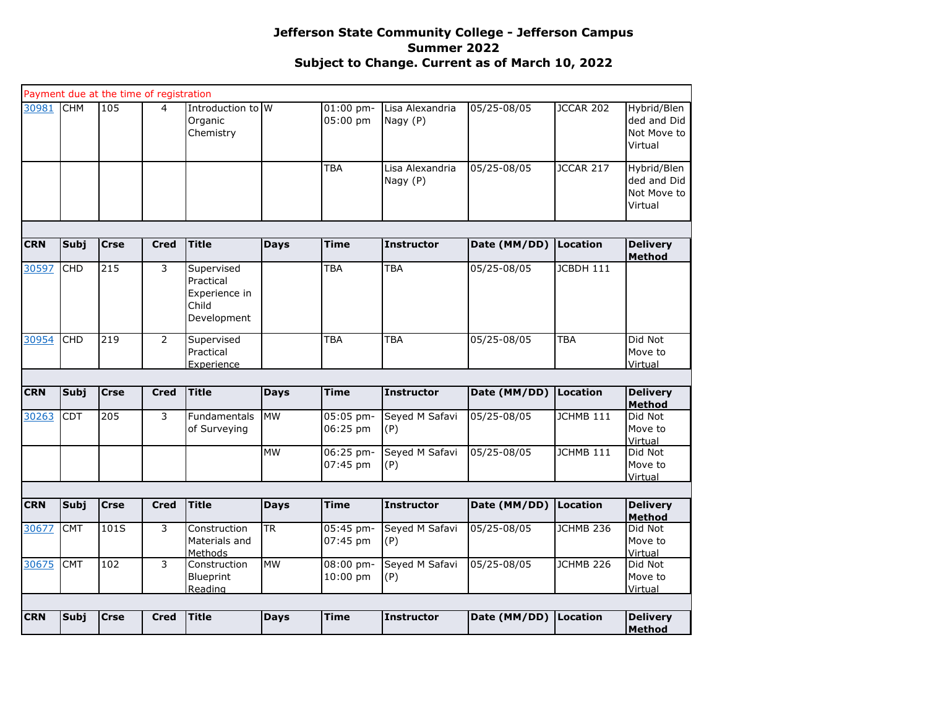|            |             | Payment due at the time of registration |                |                                                                  |             |                         |                             |              |                  |                                                      |
|------------|-------------|-----------------------------------------|----------------|------------------------------------------------------------------|-------------|-------------------------|-----------------------------|--------------|------------------|------------------------------------------------------|
| 30981      | <b>CHM</b>  | 105                                     | $\overline{4}$ | Introduction to W<br>Organic<br>Chemistry                        |             | $01:00$ pm-<br>05:00 pm | Lisa Alexandria<br>Nagy (P) | 05/25-08/05  | JCCAR 202        | Hybrid/Blen<br>ded and Did<br>Not Move to<br>Virtual |
|            |             |                                         |                |                                                                  |             | <b>TBA</b>              | Lisa Alexandria<br>Nagy (P) | 05/25-08/05  | JCCAR 217        | Hybrid/Blen<br>ded and Did<br>Not Move to<br>Virtual |
|            |             |                                         |                |                                                                  |             |                         |                             |              |                  |                                                      |
| <b>CRN</b> | Subj        | <b>Crse</b>                             | <b>Cred</b>    | <b>Title</b>                                                     | <b>Days</b> | <b>Time</b>             | <b>Instructor</b>           | Date (MM/DD) | Location         | <b>Delivery</b><br><b>Method</b>                     |
| 30597      | <b>CHD</b>  | 215                                     | 3              | Supervised<br>Practical<br>Experience in<br>Child<br>Development |             | <b>TBA</b>              | <b>TBA</b>                  | 05/25-08/05  | <b>JCBDH 111</b> |                                                      |
| 30954      | <b>CHD</b>  | 219                                     | $\overline{2}$ | Supervised<br>Practical<br>Experience                            |             | TBA                     | <b>TBA</b>                  | 05/25-08/05  | TBA              | Did Not<br>Move to<br>Virtual                        |
|            |             |                                         |                |                                                                  |             |                         |                             |              |                  |                                                      |
| <b>CRN</b> | Subj        | <b>Crse</b>                             | <b>Cred</b>    | <b>Title</b>                                                     | <b>Days</b> | <b>Time</b>             | <b>Instructor</b>           | Date (MM/DD) | Location         | <b>Delivery</b><br><b>Method</b>                     |
| 30263      | <b>CDT</b>  | 205                                     | 3              | <b>Fundamentals</b><br>of Surveying                              | <b>IMW</b>  | 05:05 pm-<br>06:25 pm   | Seyed M Safavi<br>(P)       | 05/25-08/05  | JCHMB 111        | Did Not<br>Move to<br>Virtual                        |
|            |             |                                         |                |                                                                  | <b>MW</b>   | 06:25 pm-<br>07:45 pm   | Seyed M Safavi<br>(P)       | 05/25-08/05  | JCHMB 111        | Did Not<br>Move to<br>Virtual                        |
|            |             |                                         |                |                                                                  |             |                         |                             |              |                  |                                                      |
| <b>CRN</b> | Subj        | <b>Crse</b>                             | <b>Cred</b>    | <b>Title</b>                                                     | <b>Days</b> | <b>Time</b>             | <b>Instructor</b>           | Date (MM/DD) | Location         | <b>Delivery</b><br><b>Method</b>                     |
| 30677      | <b>CMT</b>  | 101S                                    | 3              | Construction<br>Materials and<br>Methods                         | <b>TR</b>   | 05:45 pm-<br>07:45 pm   | Seyed M Safavi<br>(P)       | 05/25-08/05  | JCHMB 236        | Did Not<br>Move to<br>Virtual                        |
| 30675      | <b>CMT</b>  | 102                                     | 3              | Construction<br>Blueprint<br>Reading                             | <b>MW</b>   | 08:00 pm-<br>10:00 pm   | Seyed M Safavi<br>(P)       | 05/25-08/05  | JCHMB 226        | Did Not<br>Move to<br>Virtual                        |
|            |             |                                         |                |                                                                  |             |                         |                             |              |                  |                                                      |
| <b>CRN</b> | <b>Subj</b> | <b>Crse</b>                             | <b>Cred</b>    | <b>Title</b>                                                     | <b>Days</b> | <b>Time</b>             | <b>Instructor</b>           | Date (MM/DD) | Location         | <b>Delivery</b><br>Method                            |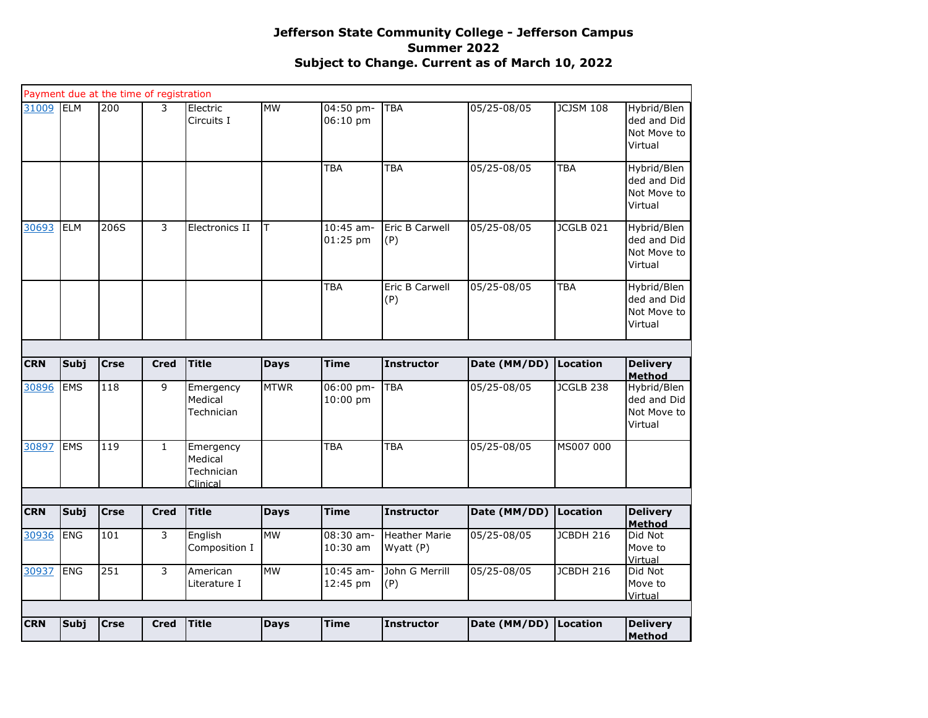| <b>CRN</b> | Subj       | <b>Crse</b>                             | <b>Cred</b>  | <b>Title</b>                       | <b>Days</b> | <b>Time</b>               | <b>Instructor</b>     | Date (MM/DD) Location      |                  | <b>Delivery</b><br><b>Method</b>                     |
|------------|------------|-----------------------------------------|--------------|------------------------------------|-------------|---------------------------|-----------------------|----------------------------|------------------|------------------------------------------------------|
|            |            |                                         |              |                                    |             |                           |                       |                            |                  |                                                      |
|            |            |                                         |              |                                    |             |                           |                       |                            |                  | Virtual                                              |
| 30937      | <b>ENG</b> | 251                                     | 3            | American<br>Literature I           | <b>MW</b>   | 10:45 am-<br>12:45 pm     | John G Merrill<br>(P) | 05/25-08/05                | <b>JCBDH 216</b> | Did Not<br>Move to                                   |
|            |            |                                         |              | Composition I                      |             | 10:30 am                  | Wyatt (P)             |                            |                  | Move to<br>Virtual                                   |
| 30936      | <b>ENG</b> | 101                                     | 3            | English                            | <b>MW</b>   | 08:30 am-                 | <b>Heather Marie</b>  | $\overline{05}/25 - 08/05$ | JCBDH 216        | Did Not                                              |
| <b>CRN</b> | Subj       | <b>Crse</b>                             | <b>Cred</b>  | <b>Title</b>                       | <b>Days</b> | <b>Time</b>               | Instructor            | Date (MM/DD)               | Location         | <b>Delivery</b><br><b>Method</b>                     |
|            |            |                                         |              |                                    |             |                           |                       |                            |                  |                                                      |
|            |            |                                         |              | Medical<br>Technician<br>Clinical  |             |                           |                       |                            |                  |                                                      |
| 30897      | EMS        | 119                                     | $\mathbf{1}$ | Emergency                          |             | <b>TBA</b>                | <b>TBA</b>            | 05/25-08/05                | MS007 000        |                                                      |
| 30896      | <b>EMS</b> | 118                                     | 9            | Emergency<br>Medical<br>Technician | <b>MTWR</b> | 06:00 pm-<br>10:00 pm     | <b>TBA</b>            | 05/25-08/05                | JCGLB 238        | Hybrid/Blen<br>ded and Did<br>Not Move to<br>Virtual |
| <b>CRN</b> | Subj       | <b>Crse</b>                             | <b>Cred</b>  | <b>Title</b>                       | <b>Days</b> | <b>Time</b>               | <b>Instructor</b>     | Date (MM/DD)               | Location         | <b>Delivery</b><br>Method                            |
|            |            |                                         |              |                                    |             |                           |                       |                            |                  |                                                      |
|            |            |                                         |              |                                    |             | <b>TBA</b>                | Eric B Carwell<br>(P) | 05/25-08/05                | <b>TBA</b>       | Hybrid/Blen<br>ded and Did<br>Not Move to<br>Virtual |
| 30693      | <b>ELM</b> | 206S                                    | 3            | Electronics II                     | lΤ          | $10:45$ am-<br>$01:25$ pm | Eric B Carwell<br>(P) | 05/25-08/05                | JCGLB 021        | Hybrid/Blen<br>ded and Did<br>Not Move to<br>Virtual |
|            |            |                                         |              |                                    |             | <b>TBA</b>                | <b>TBA</b>            | 05/25-08/05                | <b>TBA</b>       | Hybrid/Blen<br>ded and Did<br>Not Move to<br>Virtual |
| 31009      | <b>ELM</b> | 200                                     | 3            | Electric<br>Circuits I             | <b>MW</b>   | 04:50 pm-<br>06:10 pm     | <b>TBA</b>            | 05/25-08/05                | <b>JCJSM 108</b> | Hybrid/Blen<br>ded and Did<br>Not Move to<br>Virtual |
|            |            | Payment due at the time of registration |              |                                    |             |                           |                       |                            |                  |                                                      |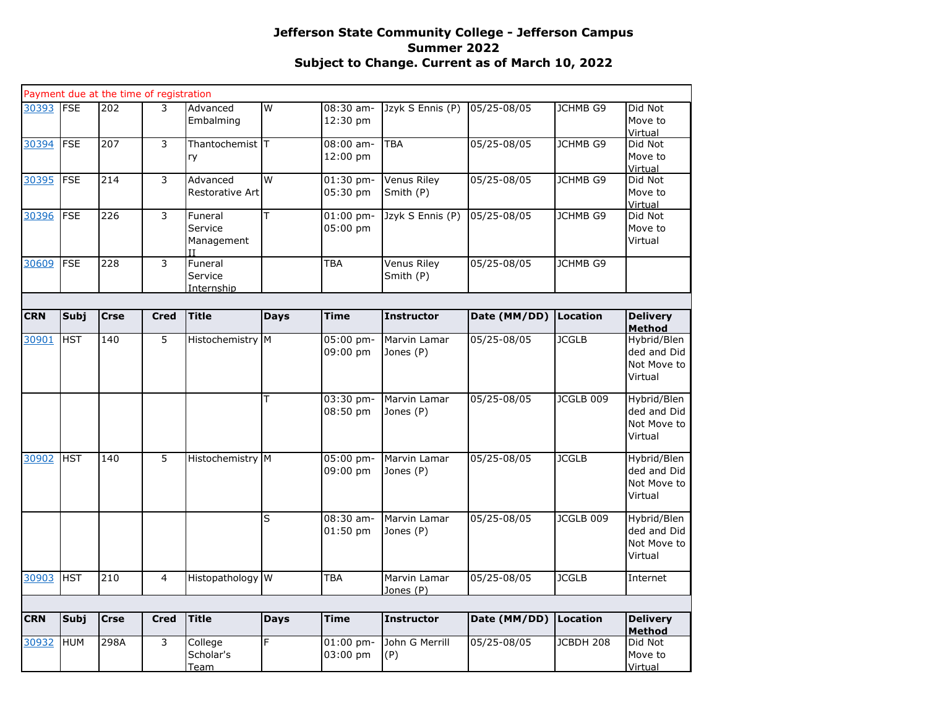|            |             | Payment due at the time of registration |                |                                         |                         |                         |                                 |              |                 |                                                      |
|------------|-------------|-----------------------------------------|----------------|-----------------------------------------|-------------------------|-------------------------|---------------------------------|--------------|-----------------|------------------------------------------------------|
| 30393      | <b>FSE</b>  | 202                                     | 3              | Advanced<br>Embalming                   | $\overline{\mathsf{W}}$ | 08:30 am-<br>12:30 pm   | Jzyk S Ennis (P)                | 05/25-08/05  | <b>JCHMB G9</b> | Did Not<br>Move to<br>Virtual                        |
| 30394      | <b>FSE</b>  | 207                                     | 3              | Thantochemist T<br>ry                   |                         | $08:00$ am-<br>12:00 pm | <b>TBA</b>                      | 05/25-08/05  | <b>JCHMB G9</b> | Did Not<br>Move to<br>Virtual                        |
| 30395      | <b>FSE</b>  | 214                                     | 3              | Advanced<br>Restorative Art             | W                       | 01:30 pm-<br>05:30 pm   | <b>Venus Riley</b><br>Smith (P) | 05/25-08/05  | <b>JCHMB G9</b> | Did Not<br>Move to<br>Virtual                        |
| 30396      | <b>FSE</b>  | 226                                     | $\overline{3}$ | Funeral<br>Service<br>Management<br>TΤ  | T                       | $01:00$ pm-<br>05:00 pm | Jzyk S Ennis (P)                | 05/25-08/05  | JCHMB G9        | Did Not<br>Move to<br>Virtual                        |
| 30609      | <b>FSE</b>  | 228                                     | 3              | Funeral<br>Service<br><u>Internship</u> |                         | TBA                     | Venus Riley<br>Smith (P)        | 05/25-08/05  | <b>JCHMB G9</b> |                                                      |
|            |             |                                         |                |                                         |                         |                         |                                 |              |                 |                                                      |
| <b>CRN</b> | <b>Subj</b> | <b>Crse</b>                             | <b>Cred</b>    | <b>Title</b>                            | <b>Days</b>             | <b>Time</b>             | <b>Instructor</b>               | Date (MM/DD) | <b>Location</b> | <b>Delivery</b><br><b>Method</b>                     |
| 30901      | <b>HST</b>  | 140                                     | 5              | Histochemistry M                        |                         | 05:00 pm-<br>09:00 pm   | Marvin Lamar<br>Jones (P)       | 05/25-08/05  | <b>JCGLB</b>    | Hybrid/Blen<br>ded and Did<br>Not Move to<br>Virtual |
|            |             |                                         |                |                                         | T                       | 03:30 pm-<br>08:50 pm   | Marvin Lamar<br>Jones (P)       | 05/25-08/05  | JCGLB 009       | Hybrid/Blen<br>ded and Did<br>Not Move to<br>Virtual |
| 30902      | <b>HST</b>  | 140                                     | $\overline{5}$ | Histochemistry M                        |                         | 05:00 pm-<br>09:00 pm   | Marvin Lamar<br>Jones (P)       | 05/25-08/05  | <b>JCGLB</b>    | Hybrid/Blen<br>ded and Did<br>Not Move to<br>Virtual |
|            |             |                                         |                |                                         | S                       | $08:30$ am-<br>01:50 pm | Marvin Lamar<br>Jones (P)       | 05/25-08/05  | JCGLB 009       | Hybrid/Blen<br>ded and Did<br>Not Move to<br>Virtual |
| 30903      | <b>HST</b>  | 210                                     | $\overline{4}$ | Histopathology W                        |                         | <b>TBA</b>              | Marvin Lamar<br>Jones (P)       | 05/25-08/05  | <b>JCGLB</b>    | Internet                                             |
|            |             |                                         |                |                                         |                         |                         |                                 |              |                 |                                                      |
| <b>CRN</b> | Subj        | <b>Crse</b>                             | <b>Cred</b>    | <b>Title</b>                            | <b>Days</b>             | <b>Time</b>             | <b>Instructor</b>               | Date (MM/DD) | Location        | <b>Delivery</b><br><b>Method</b>                     |
| 30932      | <b>HUM</b>  | 298A                                    | 3              | College<br>Scholar's<br>Team            | F                       | $01:00$ pm-<br>03:00 pm | John G Merrill<br>(P)           | 05/25-08/05  | JCBDH 208       | Did Not<br>Move to<br>Virtual                        |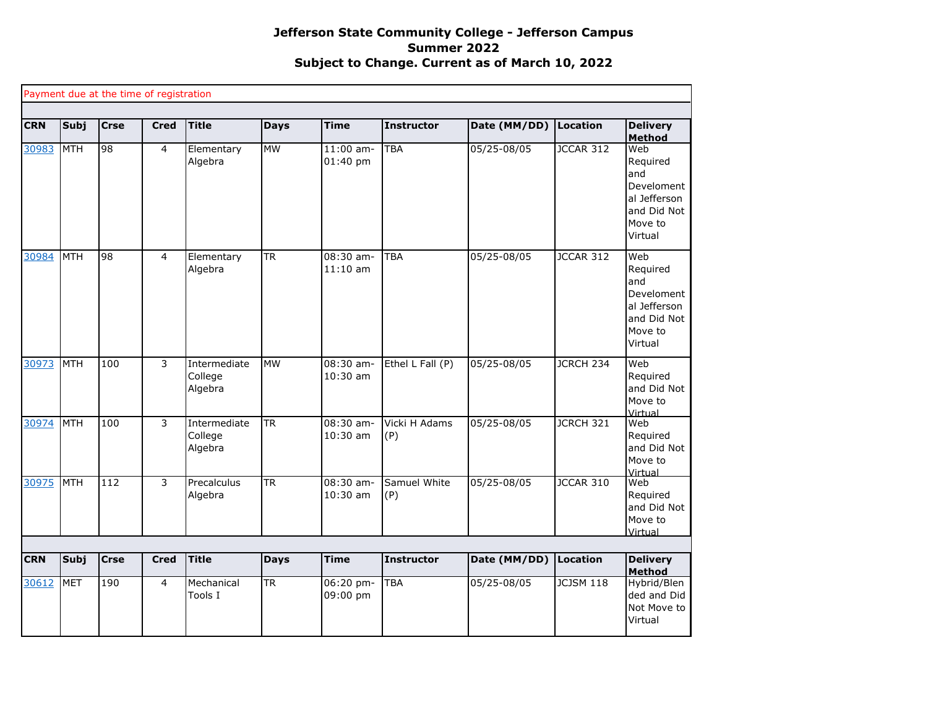|            |             | Payment due at the time of registration |             |                                    |                        |                           |                      |              |                  |                                                                                           |
|------------|-------------|-----------------------------------------|-------------|------------------------------------|------------------------|---------------------------|----------------------|--------------|------------------|-------------------------------------------------------------------------------------------|
| <b>CRN</b> | Subj        | <b>Crse</b>                             | <b>Cred</b> | <b>Title</b>                       | <b>Days</b>            | <b>Time</b>               | <b>Instructor</b>    | Date (MM/DD) | Location         | <b>Delivery</b><br><b>Method</b>                                                          |
| 30983      | <b>MTH</b>  | 98                                      | 4           | Elementary<br>Algebra              | <b>MW</b>              | $11:00$ am-<br>$01:40$ pm | <b>TBA</b>           | 05/25-08/05  | JCCAR 312        | Web<br>Required<br>and<br>Develoment<br>al Jefferson<br>and Did Not<br>Move to<br>Virtual |
| 30984      | <b>MTH</b>  | 98                                      | 4           | Elementary<br>Algebra              | $\overline{\text{TR}}$ | 08:30 am-<br>$11:10$ am   | <b>TBA</b>           | 05/25-08/05  | <b>JCCAR 312</b> | Web<br>Required<br>and<br>Develoment<br>al Jefferson<br>and Did Not<br>Move to<br>Virtual |
| 30973      | MTH         | 100                                     | 3           | Intermediate<br>College<br>Algebra | <b>MW</b>              | $08:30$ am-<br>10:30 am   | Ethel L Fall (P)     | 05/25-08/05  | JCRCH 234        | Web<br>Required<br>and Did Not<br>Move to<br>Virtual                                      |
| 30974      | MTH         | 100                                     | 3           | Intermediate<br>College<br>Algebra | <b>TR</b>              | 08:30 am-<br>$10:30$ am   | Vicki H Adams<br>(P) | 05/25-08/05  | JCRCH 321        | Web<br>Required<br>and Did Not<br>Move to<br>Virtual                                      |
| 30975      | <b>IMTH</b> | $\overline{112}$                        | 3           | Precalculus<br>Algebra             | $\overline{\text{TR}}$ | 08:30 am-<br>$10:30$ am   | Samuel White<br>(P)  | 05/25-08/05  | <b>JCCAR 310</b> | Web<br>Required<br>and Did Not<br>Move to<br>Virtual                                      |
| <b>CRN</b> | Subj        | <b>Crse</b>                             | <b>Cred</b> | <b>Title</b>                       | <b>Days</b>            | <b>Time</b>               | <b>Instructor</b>    | Date (MM/DD) | Location         | <b>Delivery</b>                                                                           |
| 30612      | <b>MET</b>  | 190                                     | 4           | Mechanical                         | $\overline{\text{TR}}$ | $06:20$ pm-               | <b>TBA</b>           | 05/25-08/05  | <b>JCJSM 118</b> | <b>Method</b><br>Hybrid/Blen                                                              |
|            |             |                                         |             | Tools I                            |                        | 09:00 pm                  |                      |              |                  | ded and Did<br>Not Move to<br>Virtual                                                     |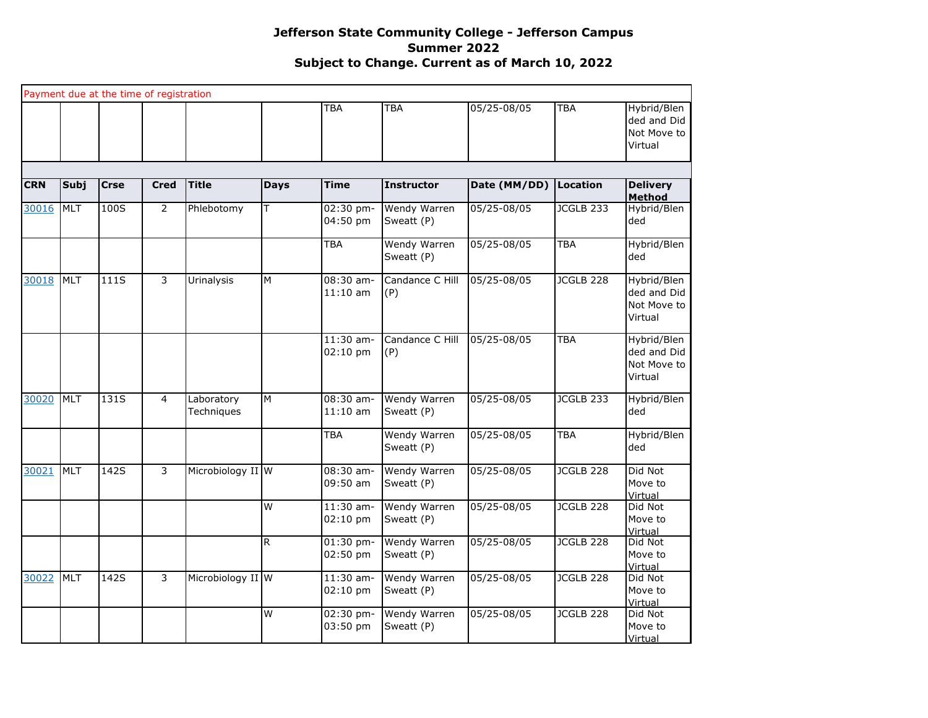|            |            | Payment due at the time of registration |                |                          |                |                         |                                   |              |                  |                                                      |
|------------|------------|-----------------------------------------|----------------|--------------------------|----------------|-------------------------|-----------------------------------|--------------|------------------|------------------------------------------------------|
|            |            |                                         |                |                          |                | <b>TBA</b>              | <b>TBA</b>                        | 05/25-08/05  | TBA              | Hybrid/Blen<br>ded and Did<br>Not Move to<br>Virtual |
|            |            |                                         |                |                          |                |                         |                                   |              |                  |                                                      |
| <b>CRN</b> | Subj       | <b>Crse</b>                             | <b>Cred</b>    | <b>Title</b>             | <b>Days</b>    | <b>Time</b>             | <b>Instructor</b>                 | Date (MM/DD) | <b>Location</b>  | <b>Delivery</b><br><b>Method</b>                     |
| 30016      | <b>MLT</b> | 100S                                    | $\overline{2}$ | Phlebotomy               | T              | 02:30 pm-<br>04:50 pm   | Wendy Warren<br>Sweatt (P)        | 05/25-08/05  | <b>JCGLB 233</b> | Hybrid/Blen<br>ded                                   |
|            |            |                                         |                |                          |                | <b>TBA</b>              | Wendy Warren<br>Sweatt (P)        | 05/25-08/05  | <b>TBA</b>       | Hybrid/Blen<br>ded                                   |
| 30018      | <b>MLT</b> | 111S                                    | 3              | Urinalysis               | ${\sf M}$      | 08:30 am-<br>$11:10$ am | Candance C Hill<br>(P)            | 05/25-08/05  | JCGLB 228        | Hybrid/Blen<br>ded and Did<br>Not Move to<br>Virtual |
|            |            |                                         |                |                          |                | $11:30$ am-<br>02:10 pm | Candance C Hill<br>(P)            | 05/25-08/05  | <b>TBA</b>       | Hybrid/Blen<br>ded and Did<br>Not Move to<br>Virtual |
| 30020      | <b>MLT</b> | 131S                                    | $\overline{4}$ | Laboratory<br>Techniques | ${\sf M}$      | 08:30 am-<br>$11:10$ am | Wendy Warren<br>Sweatt (P)        | 05/25-08/05  | JCGLB 233        | Hybrid/Blen<br>ded                                   |
|            |            |                                         |                |                          |                | <b>TBA</b>              | Wendy Warren<br>Sweatt (P)        | 05/25-08/05  | <b>TBA</b>       | Hybrid/Blen<br>ded                                   |
| 30021      | <b>MLT</b> | 142S                                    | 3              | Microbiology II W        |                | $08:30$ am-<br>09:50 am | Wendy Warren<br>Sweatt (P)        | 05/25-08/05  | JCGLB 228        | Did Not<br>Move to<br>Virtual                        |
|            |            |                                         |                |                          | $\overline{W}$ | $11:30$ am-<br>02:10 pm | Wendy Warren<br>Sweatt (P)        | 05/25-08/05  | JCGLB 228        | Did Not<br>Move to<br>Virtual                        |
|            |            |                                         |                |                          | $\overline{R}$ | $01:30$ pm-<br>02:50 pm | <b>Wendy Warren</b><br>Sweatt (P) | 05/25-08/05  | JCGLB 228        | Did Not<br>Move to<br>Virtual                        |
| 30022      | <b>MLT</b> | 142S                                    | 3              | Microbiology II W        |                | $11:30$ am-<br>02:10 pm | Wendy Warren<br>Sweatt (P)        | 05/25-08/05  | JCGLB 228        | Did Not<br>Move to<br>Virtual                        |
|            |            |                                         |                |                          | W              | 02:30 pm-<br>03:50 pm   | Wendy Warren<br>Sweatt (P)        | 05/25-08/05  | JCGLB 228        | Did Not<br>Move to<br>Virtual                        |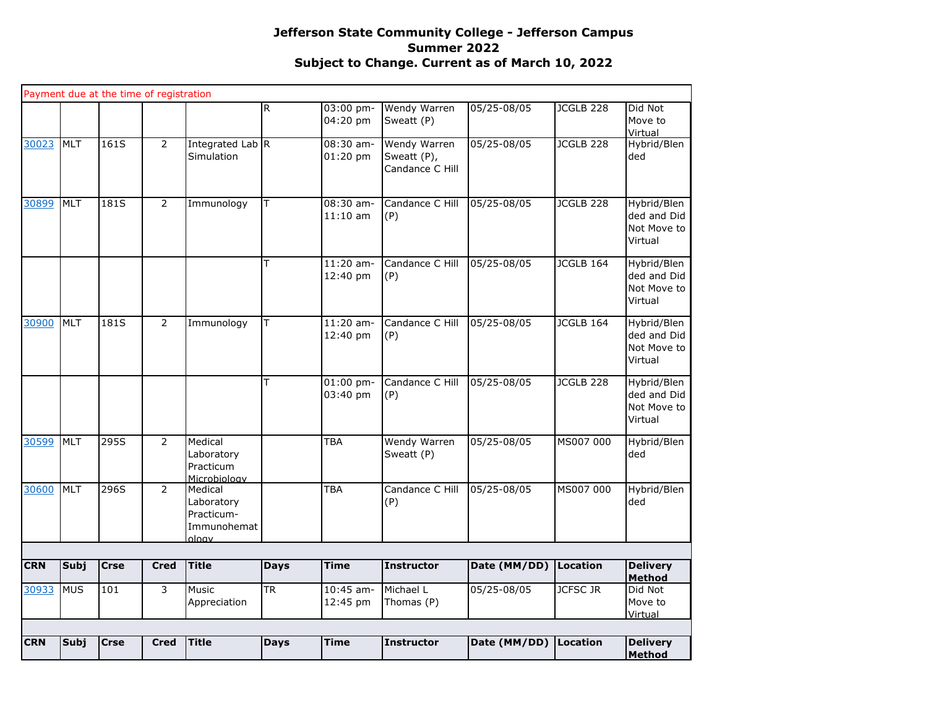| <b>MLT</b><br>161S<br>$\overline{2}$<br>30023<br>Simulation<br>30899<br>MLT<br>181S<br>$\overline{2}$<br>Immunology<br><b>MLT</b><br>$\overline{2}$<br>30900<br>181S<br>Immunology<br>295S<br>30599<br><b>MLT</b><br>$\overline{2}$<br>Medical<br>Laboratory<br>Practicum<br>Microbioloav<br>MLT<br>296S<br>$\overline{2}$<br>30600<br>Medical<br>Laboratory<br>Practicum-<br>Immunohemat<br>ology<br><b>Title</b><br><b>CRN</b><br><b>Subj</b><br><b>Crse</b><br><b>Cred</b><br>30933<br><b>MUS</b><br>101<br>3<br><b>Music</b><br>Appreciation<br><b>Title</b><br><b>CRN</b><br><b>Cred</b> |                        |                            |             |                                                                           |                       |                 | Method                                               |
|-----------------------------------------------------------------------------------------------------------------------------------------------------------------------------------------------------------------------------------------------------------------------------------------------------------------------------------------------------------------------------------------------------------------------------------------------------------------------------------------------------------------------------------------------------------------------------------------------|------------------------|----------------------------|-------------|---------------------------------------------------------------------------|-----------------------|-----------------|------------------------------------------------------|
|                                                                                                                                                                                                                                                                                                                                                                                                                                                                                                                                                                                               |                        | <b>Subj</b><br><b>Crse</b> | <b>Days</b> | <b>Time</b><br><b>Instructor</b>                                          | Date (MM/DD) Location |                 | <b>Delivery</b>                                      |
|                                                                                                                                                                                                                                                                                                                                                                                                                                                                                                                                                                                               |                        |                            |             | 12:45 pm<br>Thomas (P)                                                    |                       |                 | Move to<br>Virtual                                   |
|                                                                                                                                                                                                                                                                                                                                                                                                                                                                                                                                                                                               | $\overline{\text{TR}}$ |                            |             | $10:45$ am-<br>Michael L                                                  | 05/25-08/05           | <b>JCFSC JR</b> | Did Not                                              |
|                                                                                                                                                                                                                                                                                                                                                                                                                                                                                                                                                                                               |                        |                            | <b>Days</b> | <b>Time</b><br><b>Instructor</b>                                          | Date (MM/DD)          | Location        | <b>Delivery</b><br>Method                            |
|                                                                                                                                                                                                                                                                                                                                                                                                                                                                                                                                                                                               |                        |                            |             |                                                                           |                       |                 |                                                      |
|                                                                                                                                                                                                                                                                                                                                                                                                                                                                                                                                                                                               |                        |                            |             |                                                                           |                       |                 |                                                      |
|                                                                                                                                                                                                                                                                                                                                                                                                                                                                                                                                                                                               |                        |                            |             | <b>TBA</b><br>Candance C Hill<br>(P)                                      | 05/25-08/05           | MS007 000       | Hybrid/Blen<br>ded                                   |
|                                                                                                                                                                                                                                                                                                                                                                                                                                                                                                                                                                                               |                        |                            |             | <b>TBA</b><br>Wendy Warren<br>Sweatt (P)                                  | 05/25-08/05           | MS007 000       | Hybrid/Blen<br>ded                                   |
|                                                                                                                                                                                                                                                                                                                                                                                                                                                                                                                                                                                               | T                      |                            |             | $01:00$ pm-<br>Candance C Hill<br>03:40 pm<br>(P)                         | 05/25-08/05           | JCGLB 228       | Hybrid/Blen<br>ded and Did<br>Not Move to<br>Virtual |
|                                                                                                                                                                                                                                                                                                                                                                                                                                                                                                                                                                                               | T                      |                            |             | $11:20$ am-<br>Candance C Hill<br>12:40 pm<br>(P)                         | 05/25-08/05           | JCGLB 164       | Hybrid/Blen<br>ded and Did<br>Not Move to<br>Virtual |
|                                                                                                                                                                                                                                                                                                                                                                                                                                                                                                                                                                                               | T                      |                            |             | $11:20$ am-<br>Candance C Hill<br>12:40 pm<br>(P)                         | 05/25-08/05           | JCGLB 164       | Hybrid/Blen<br>ded and Did<br>Not Move to<br>Virtual |
|                                                                                                                                                                                                                                                                                                                                                                                                                                                                                                                                                                                               | T                      |                            |             | 08:30 am-<br>Candance C Hill<br>$11:10$ am<br>(P)                         | 05/25-08/05           | JCGLB 228       | Hybrid/Blen<br>ded and Did<br>Not Move to<br>Virtual |
|                                                                                                                                                                                                                                                                                                                                                                                                                                                                                                                                                                                               | Integrated Lab R       |                            |             | $08:30$ am-<br>Wendy Warren<br>01:20 pm<br>Sweatt (P),<br>Candance C Hill | 05/25-08/05           | JCGLB 228       | Hybrid/Blen<br>ded                                   |
| Payment due at the time of registration                                                                                                                                                                                                                                                                                                                                                                                                                                                                                                                                                       | R                      |                            |             | 03:00 pm-<br>Wendy Warren<br>04:20 pm<br>Sweatt (P)                       | 05/25-08/05           | JCGLB 228       | Did Not<br>Move to<br>Virtual                        |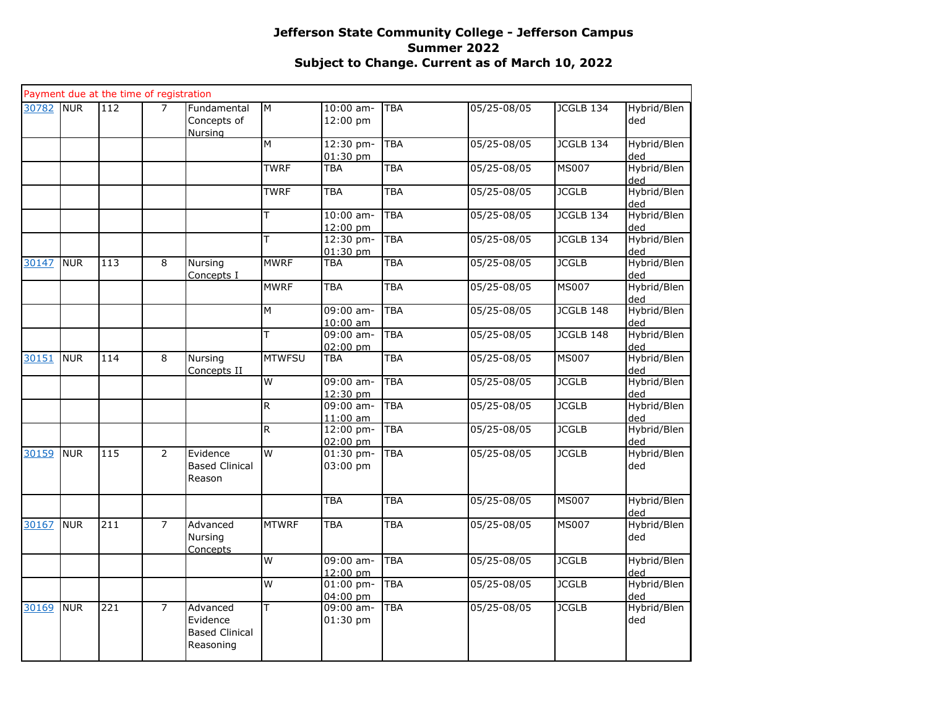|       |            | Payment due at the time of registration |                |                                                            |                         |                                 |            |                 |              |                    |
|-------|------------|-----------------------------------------|----------------|------------------------------------------------------------|-------------------------|---------------------------------|------------|-----------------|--------------|--------------------|
| 30782 | <b>NUR</b> | 112                                     | $\overline{7}$ | Fundamental<br>Concepts of<br>Nursing                      | M                       | 10:00 am-<br>12:00 pm           | <b>TBA</b> | 05/25-08/05     | JCGLB 134    | Hybrid/Blen<br>ded |
|       |            |                                         |                |                                                            | M                       | 12:30 pm-<br>$01:30$ pm         | <b>TBA</b> | 05/25-08/05     | JCGLB 134    | Hybrid/Blen<br>ded |
|       |            |                                         |                |                                                            | <b>TWRF</b>             | TBA                             | <b>TBA</b> | 05/25-08/05     | <b>MS007</b> | Hybrid/Blen<br>ded |
|       |            |                                         |                |                                                            | <b>TWRF</b>             | TBA                             | <b>TBA</b> | 05/25-08/05     | <b>JCGLB</b> | Hybrid/Blen<br>ded |
|       |            |                                         |                |                                                            | T                       | $10:00$ am-<br>12:00 pm         | <b>TBA</b> | $05/25 - 08/05$ | JCGLB 134    | Hybrid/Blen<br>ded |
|       |            |                                         |                |                                                            | T                       | 12:30 pm-<br>$01:30$ pm         | <b>TBA</b> | 05/25-08/05     | JCGLB 134    | Hybrid/Blen<br>ded |
| 30147 | <b>NUR</b> | 113                                     | 8              | Nursing<br>Concepts I                                      | <b>MWRF</b>             | TBA                             | <b>TBA</b> | 05/25-08/05     | <b>JCGLB</b> | Hybrid/Blen<br>heh |
|       |            |                                         |                |                                                            | <b>MWRF</b>             | <b>TBA</b>                      | <b>TBA</b> | 05/25-08/05     | <b>MS007</b> | Hybrid/Blen<br>ded |
|       |            |                                         |                |                                                            | $\overline{M}$          | 09:00 am-<br>10:00 am           | <b>TBA</b> | 05/25-08/05     | JCGLB 148    | Hybrid/Blen<br>ded |
|       |            |                                         |                |                                                            | T                       | 09:00 am-<br>$02:00$ pm         | <b>TBA</b> | 05/25-08/05     | JCGLB 148    | Hybrid/Blen<br>ded |
| 30151 | <b>NUR</b> | 114                                     | 8              | Nursing<br>Concepts II                                     | <b>MTWFSU</b>           | <b>TBA</b>                      | <b>TBA</b> | 05/25-08/05     | <b>MS007</b> | Hybrid/Blen<br>ded |
|       |            |                                         |                |                                                            | W                       | 09:00 am-<br>$12:30 \text{ pm}$ | <b>TBA</b> | 05/25-08/05     | <b>JCGLB</b> | Hybrid/Blen<br>ded |
|       |            |                                         |                |                                                            | $\overline{R}$          | 09:00 am-<br>$11:00$ am         | <b>TBA</b> | 05/25-08/05     | <b>JCGLB</b> | Hybrid/Blen<br>ded |
|       |            |                                         |                |                                                            | $\overline{R}$          | 12:00 pm-<br>$02:00$ pm         | <b>TBA</b> | 05/25-08/05     | <b>JCGLB</b> | Hybrid/Blen<br>ded |
| 30159 | <b>NUR</b> | 115                                     | $\overline{2}$ | Evidence<br><b>Based Clinical</b><br>Reason                | W                       | 01:30 pm-<br>03:00 pm           | <b>TBA</b> | 05/25-08/05     | <b>JCGLB</b> | Hybrid/Blen<br>ded |
|       |            |                                         |                |                                                            |                         | <b>TBA</b>                      | TBA        | 05/25-08/05     | <b>MS007</b> | Hybrid/Blen<br>ded |
| 30167 | <b>NUR</b> | 211                                     | $\overline{7}$ | Advanced<br>Nursing<br>Concepts                            | <b>MTWRF</b>            | TBA                             | <b>TBA</b> | 05/25-08/05     | <b>MS007</b> | Hybrid/Blen<br>ded |
|       |            |                                         |                |                                                            | W                       | 09:00 am-<br>12:00 pm           | <b>TBA</b> | 05/25-08/05     | <b>JCGLB</b> | Hybrid/Blen<br>ded |
|       |            |                                         |                |                                                            | W                       | 01:00 pm-<br>04:00 pm           | <b>TBA</b> | 05/25-08/05     | <b>JCGLB</b> | Hybrid/Blen<br>ded |
| 30169 | <b>NUR</b> | 221                                     | $\overline{7}$ | Advanced<br>Evidence<br><b>Based Clinical</b><br>Reasoning | $\overline{\mathsf{T}}$ | 09:00 am-<br>01:30 pm           | <b>TBA</b> | 05/25-08/05     | <b>JCGLB</b> | Hybrid/Blen<br>ded |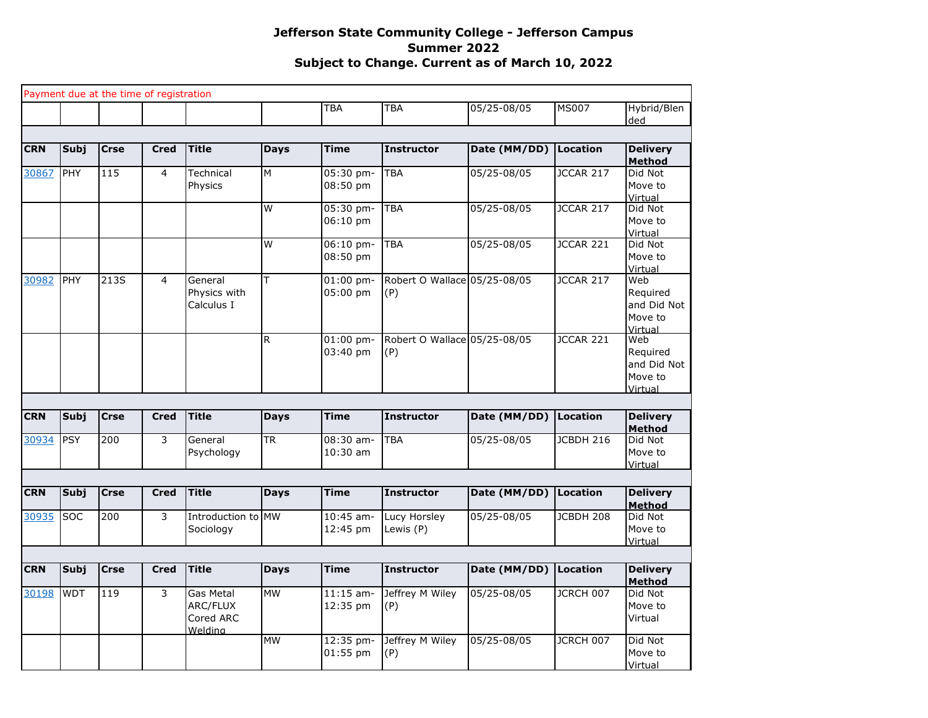|            |             |             | Payment due at the time of registration |                                               |             |                         |                                     |              |                  |                                                      |
|------------|-------------|-------------|-----------------------------------------|-----------------------------------------------|-------------|-------------------------|-------------------------------------|--------------|------------------|------------------------------------------------------|
|            |             |             |                                         |                                               |             | <b>TBA</b>              | <b>TBA</b>                          | 05/25-08/05  | <b>MS007</b>     | Hybrid/Blen<br>ded                                   |
|            |             |             |                                         |                                               |             |                         |                                     |              |                  |                                                      |
| <b>CRN</b> | <b>Subj</b> | <b>Crse</b> | <b>Cred</b>                             | <b>Title</b>                                  | <b>Days</b> | <b>Time</b>             | <b>Instructor</b>                   | Date (MM/DD) | <b>Location</b>  | <b>Delivery</b><br><b>Method</b>                     |
| 30867      | PHY         | 115         | 4                                       | Technical<br>Physics                          | M           | 05:30 pm-<br>08:50 pm   | <b>TBA</b>                          | 05/25-08/05  | JCCAR 217        | Did Not<br>Move to<br>Virtual                        |
|            |             |             |                                         |                                               | W           | 05:30 pm-<br>$06:10$ pm | <b>TBA</b>                          | 05/25-08/05  | JCCAR 217        | Did Not<br>Move to<br>Virtual                        |
|            |             |             |                                         |                                               | W           | 06:10 pm-<br>08:50 pm   | <b>TBA</b>                          | 05/25-08/05  | JCCAR 221        | Did Not<br>Move to<br>Virtual                        |
| 30982      | PHY         | 213S        | $\overline{4}$                          | General<br>Physics with<br>Calculus I         | T           | 01:00 pm-<br>05:00 pm   | Robert O Wallace 05/25-08/05<br>(P) |              | JCCAR 217        | Web<br>Reguired<br>and Did Not<br>Move to<br>Virtual |
|            |             |             |                                         |                                               | R           | $01:00$ pm-<br>03:40 pm | Robert O Wallace 05/25-08/05<br>(P) |              | JCCAR 221        | Web<br>Required<br>and Did Not<br>Move to<br>Virtual |
|            |             |             |                                         |                                               |             |                         |                                     |              |                  |                                                      |
| <b>CRN</b> | <b>Subj</b> | <b>Crse</b> | <b>Cred</b>                             | <b>Title</b>                                  | <b>Days</b> | <b>Time</b>             | <b>Instructor</b>                   | Date (MM/DD) | <b>Location</b>  | <b>Delivery</b><br><b>Method</b>                     |
| 30934      | <b>PSY</b>  | 200         | 3                                       | General<br>Psychology                         | <b>TR</b>   | $08:30$ am-<br>10:30 am | <b>TBA</b>                          | 05/25-08/05  | <b>JCBDH 216</b> | Did Not<br>Move to<br>Virtual                        |
|            |             |             |                                         |                                               |             |                         |                                     |              |                  |                                                      |
| <b>CRN</b> | <b>Subj</b> | <b>Crse</b> | <b>Cred</b>                             | <b>Title</b>                                  | <b>Days</b> | <b>Time</b>             | <b>Instructor</b>                   | Date (MM/DD) | <b>Location</b>  | <b>Delivery</b><br><b>Method</b>                     |
| 30935      | <b>SOC</b>  | 200         | 3                                       | Introduction to MW<br>Sociology               |             | 10:45 am-<br>12:45 pm   | Lucy Horsley<br>Lewis (P)           | 05/25-08/05  | JCBDH 208        | Did Not<br>Move to<br>Virtual                        |
|            |             |             |                                         |                                               |             |                         |                                     |              |                  |                                                      |
| <b>CRN</b> | Subj        | <b>Crse</b> | <b>Cred</b>                             | <b>Title</b>                                  | <b>Days</b> | <b>Time</b>             | <b>Instructor</b>                   | Date (MM/DD) | <b>Location</b>  | <b>Delivery</b><br><b>Method</b>                     |
| 30198      | <b>WDT</b>  | 119         | 3                                       | Gas Metal<br>ARC/FLUX<br>Cored ARC<br>Weldina | <b>MW</b>   | $11:15$ am-<br>12:35 pm | Jeffrey M Wiley<br>(P)              | 05/25-08/05  | JCRCH 007        | Did Not<br>Move to<br>Virtual                        |
|            |             |             |                                         |                                               | <b>MW</b>   | 12:35 pm-<br>$01:55$ pm | Jeffrey M Wiley<br>(P)              | 05/25-08/05  | JCRCH 007        | Did Not<br>Move to<br>Virtual                        |